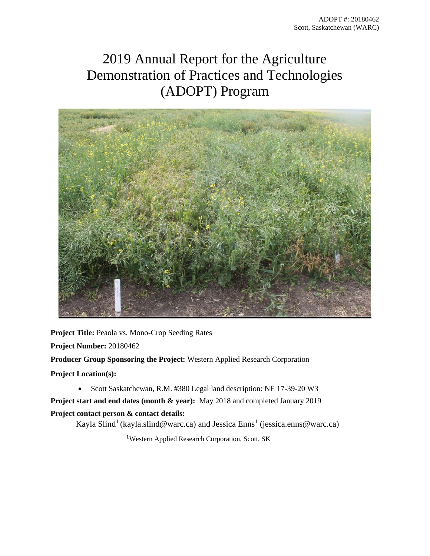# 2019 Annual Report for the Agriculture Demonstration of Practices and Technologies (ADOPT) Program



**Project Title:** Peaola vs. Mono-Crop Seeding Rates **Project Number:** 20180462

**Producer Group Sponsoring the Project:** Western Applied Research Corporation

**Project Location(s):**

• Scott Saskatchewan, R.M. #380 Legal land description: NE 17-39-20 W3

**Project start and end dates (month & year):** May 2018 and completed January 2019 **Project contact person & contact details:** 

Kayla Slind<sup>1</sup> (kayla.slind@warc.ca) and Jessica Enns<sup>1</sup> (jessica.enns@warc.ca)

**<sup>1</sup>**Western Applied Research Corporation, Scott, SK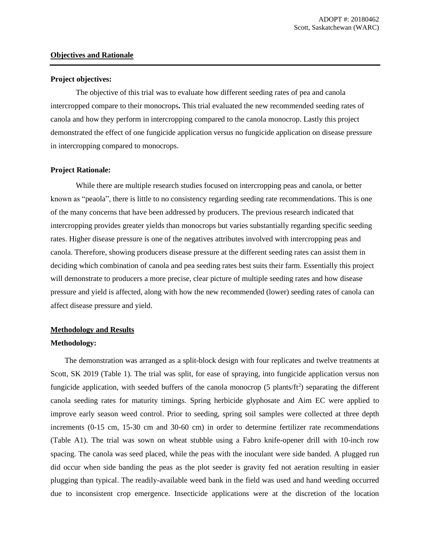#### **Objectives and Rationale**

#### **Project objectives:**

The objective of this trial was to evaluate how different seeding rates of pea and canola intercropped compare to their monocrops**.** This trial evaluated the new recommended seeding rates of canola and how they perform in intercropping compared to the canola monocrop. Lastly this project demonstrated the effect of one fungicide application versus no fungicide application on disease pressure in intercropping compared to monocrops.

#### **Project Rationale:**

While there are multiple research studies focused on intercropping peas and canola, or better known as "peaola", there is little to no consistency regarding seeding rate recommendations. This is one of the many concerns that have been addressed by producers. The previous research indicated that intercropping provides greater yields than monocrops but varies substantially regarding specific seeding rates. Higher disease pressure is one of the negatives attributes involved with intercropping peas and canola. Therefore, showing producers disease pressure at the different seeding rates can assist them in deciding which combination of canola and pea seeding rates best suits their farm. Essentially this project will demonstrate to producers a more precise, clear picture of multiple seeding rates and how disease pressure and yield is affected, along with how the new recommended (lower) seeding rates of canola can affect disease pressure and yield.

## **Methodology and Results**

#### **Methodology:**

The demonstration was arranged as a split-block design with four replicates and twelve treatments at Scott, SK 2019 (Table 1). The trial was split, for ease of spraying, into fungicide application versus non fungicide application, with seeded buffers of the canola monocrop  $(5 \text{ plants/ft}^2)$  separating the different canola seeding rates for maturity timings. Spring herbicide glyphosate and Aim EC were applied to improve early season weed control. Prior to seeding, spring soil samples were collected at three depth increments (0-15 cm, 15-30 cm and 30-60 cm) in order to determine fertilizer rate recommendations (Table A1). The trial was sown on wheat stubble using a Fabro knife-opener drill with 10-inch row spacing. The canola was seed placed, while the peas with the inoculant were side banded. A plugged run did occur when side banding the peas as the plot seeder is gravity fed not aeration resulting in easier plugging than typical. The readily-available weed bank in the field was used and hand weeding occurred due to inconsistent crop emergence. Insecticide applications were at the discretion of the location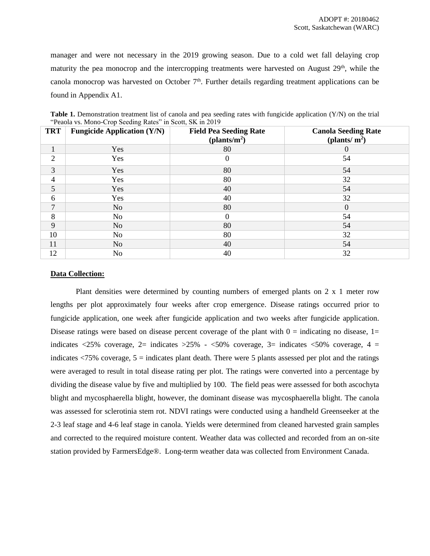manager and were not necessary in the 2019 growing season. Due to a cold wet fall delaying crop maturity the pea monocrop and the intercropping treatments were harvested on August  $29<sup>th</sup>$ , while the canola monocrop was harvested on October  $7<sup>th</sup>$ . Further details regarding treatment applications can be found in Appendix A1.

| <b>TRT</b>     | <b>Fungicide Application (Y/N)</b> | <b>Field Pea Seeding Rate</b><br>(plants/m <sup>2</sup> ) | <b>Canola Seeding Rate</b><br>(plants/ $m2$ ) |
|----------------|------------------------------------|-----------------------------------------------------------|-----------------------------------------------|
| 1              | Yes                                | 80                                                        | 0                                             |
| $\overline{2}$ | Yes                                | 0                                                         | 54                                            |
| 3              | Yes                                | 80                                                        | 54                                            |
| $\overline{4}$ | Yes                                | 80                                                        | 32                                            |
| 5              | Yes                                | 40                                                        | 54                                            |
| 6              | Yes                                | 40                                                        | 32                                            |
| $\overline{7}$ | No.                                | 80                                                        | $\theta$                                      |
| 8              | No                                 | 0                                                         | 54                                            |
| 9              | N <sub>o</sub>                     | 80                                                        | 54                                            |
| 10             | N <sub>o</sub>                     | 80                                                        | 32                                            |
| 11             | N <sub>o</sub>                     | 40                                                        | 54                                            |
| 12             | No                                 | 40                                                        | 32                                            |

**Table 1.** Demonstration treatment list of canola and pea seeding rates with fungicide application (Y/N) on the trial "Peaola vs. Mono-Crop Seeding Rates" in Scott, SK in 2019

## **Data Collection:**

Plant densities were determined by counting numbers of emerged plants on 2 x 1 meter row lengths per plot approximately four weeks after crop emergence. Disease ratings occurred prior to fungicide application, one week after fungicide application and two weeks after fungicide application. Disease ratings were based on disease percent coverage of the plant with  $0 =$  indicating no disease,  $1 =$ indicates  $\langle 25\%$  coverage, 2= indicates  $>25\%$  -  $\langle 50\%$  coverage, 3= indicates  $\langle 50\%$  coverage, 4 = indicates  $\langle 75\%$  coverage,  $5 =$  indicates plant death. There were 5 plants assessed per plot and the ratings were averaged to result in total disease rating per plot. The ratings were converted into a percentage by dividing the disease value by five and multiplied by 100. The field peas were assessed for both ascochyta blight and mycosphaerella blight, however, the dominant disease was mycosphaerella blight. The canola was assessed for sclerotinia stem rot. NDVI ratings were conducted using a handheld Greenseeker at the 2-3 leaf stage and 4-6 leaf stage in canola. Yields were determined from cleaned harvested grain samples and corrected to the required moisture content. Weather data was collected and recorded from an on-site station provided by FarmersEdge®. Long-term weather data was collected from Environment Canada.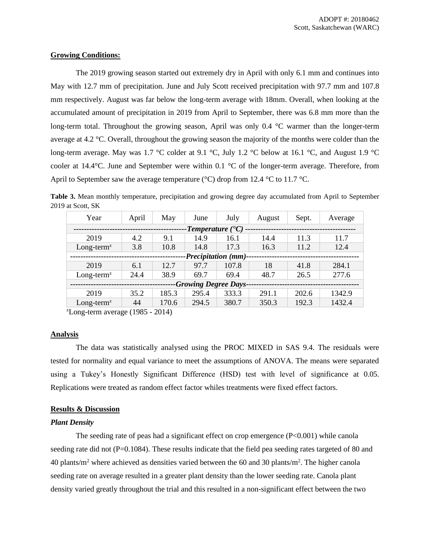#### **Growing Conditions:**

The 2019 growing season started out extremely dry in April with only 6.1 mm and continues into May with 12.7 mm of precipitation. June and July Scott received precipitation with 97.7 mm and 107.8 mm respectively. August was far below the long-term average with 18mm. Overall, when looking at the accumulated amount of precipitation in 2019 from April to September, there was 6.8 mm more than the long-term total. Throughout the growing season, April was only 0.4 °C warmer than the longer-term average at 4.2 °C. Overall, throughout the growing season the majority of the months were colder than the long-term average. May was 1.7 °C colder at 9.1 °C, July 1.2 °C below at 16.1 °C, and August 1.9 °C cooler at 14.4°C. June and September were within 0.1 °C of the longer-term average. Therefore, from April to September saw the average temperature ( $\degree$ C) drop from 12.4  $\degree$ C to 11.7  $\degree$ C.

**Table 3.** Mean monthly temperature, precipitation and growing degree day accumulated from April to September 2019 at Scott, SK

| Year<br>April                    |      | May   | June  | July  | August | Sept. | Average |  |  |  |
|----------------------------------|------|-------|-------|-------|--------|-------|---------|--|--|--|
| -Temperature $($ <sup>o</sup> C) |      |       |       |       |        |       |         |  |  |  |
| 2019                             | 4.2  | 9.1   | 14.9  | 16.1  | 14.4   | 11.3  | 11.7    |  |  |  |
| $Long-termz$                     | 3.8  | 10.8  | 14.8  | 17.3  | 16.3   | 11.2  | 12.4    |  |  |  |
| -Precipitation (mm)-             |      |       |       |       |        |       |         |  |  |  |
| 2019                             | 6.1  | 12.7  | 97.7  | 107.8 | 18     | 41.8  | 284.1   |  |  |  |
| $Long-termz$                     | 24.4 | 38.9  | 69.7  | 69.4  | 48.7   | 26.5  | 277.6   |  |  |  |
| <b>-Growing Degree Days-</b>     |      |       |       |       |        |       |         |  |  |  |
| 2019                             | 35.2 | 185.3 | 295.4 | 333.3 | 291.1  | 202.6 | 1342.9  |  |  |  |
| $Long-termz$                     | 44   | 170.6 | 294.5 | 380.7 | 350.3  | 192.3 | 1432.4  |  |  |  |

 $\text{zLong-term average}$  (1985 - 2014)

## **Analysis**

The data was statistically analysed using the PROC MIXED in SAS 9.4. The residuals were tested for normality and equal variance to meet the assumptions of ANOVA. The means were separated using a Tukey's Honestly Significant Difference (HSD) test with level of significance at 0.05. Replications were treated as random effect factor whiles treatments were fixed effect factors.

## **Results & Discussion**

#### *Plant Density*

The seeding rate of peas had a significant effect on crop emergence  $(P<0.001)$  while canola seeding rate did not  $(P=0.1084)$ . These results indicate that the field pea seeding rates targeted of 80 and 40 plants/ $m^2$  where achieved as densities varied between the 60 and 30 plants/ $m^2$ . The higher canola seeding rate on average resulted in a greater plant density than the lower seeding rate. Canola plant density varied greatly throughout the trial and this resulted in a non-significant effect between the two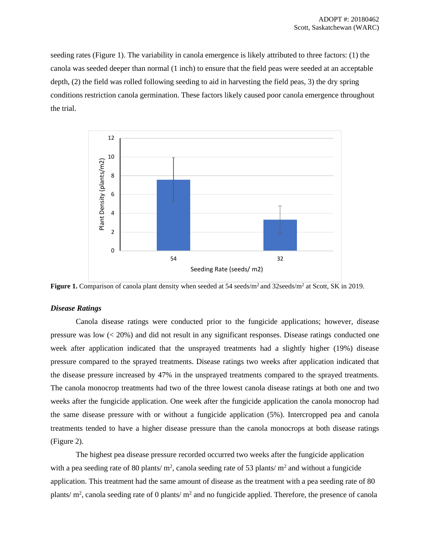seeding rates (Figure 1). The variability in canola emergence is likely attributed to three factors: (1) the canola was seeded deeper than normal (1 inch) to ensure that the field peas were seeded at an acceptable depth, (2) the field was rolled following seeding to aid in harvesting the field peas, 3) the dry spring conditions restriction canola germination. These factors likely caused poor canola emergence throughout the trial.



Figure 1. Comparison of canola plant density when seeded at 54 seeds/m<sup>2</sup> and 32seeds/m<sup>2</sup> at Scott, SK in 2019.

#### *Disease Ratings*

Canola disease ratings were conducted prior to the fungicide applications; however, disease pressure was low (< 20%) and did not result in any significant responses. Disease ratings conducted one week after application indicated that the unsprayed treatments had a slightly higher (19%) disease pressure compared to the sprayed treatments. Disease ratings two weeks after application indicated that the disease pressure increased by 47% in the unsprayed treatments compared to the sprayed treatments. The canola monocrop treatments had two of the three lowest canola disease ratings at both one and two weeks after the fungicide application. One week after the fungicide application the canola monocrop had the same disease pressure with or without a fungicide application (5%). Intercropped pea and canola treatments tended to have a higher disease pressure than the canola monocrops at both disease ratings (Figure 2).

The highest pea disease pressure recorded occurred two weeks after the fungicide application with a pea seeding rate of 80 plants/  $m^2$ , canola seeding rate of 53 plants/  $m^2$  and without a fungicide application. This treatment had the same amount of disease as the treatment with a pea seeding rate of 80 plants/ $m^2$ , canola seeding rate of 0 plants/ $m^2$  and no fungicide applied. Therefore, the presence of canola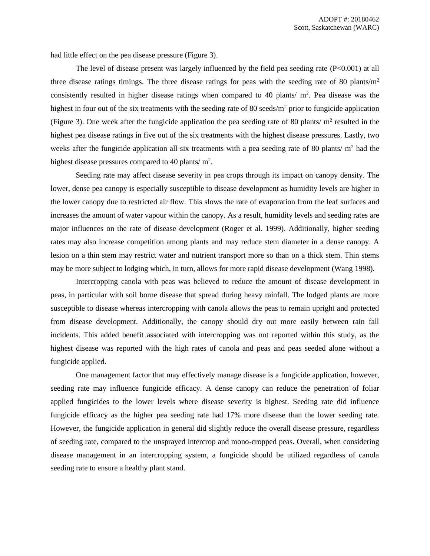had little effect on the pea disease pressure (Figure 3).

The level of disease present was largely influenced by the field pea seeding rate (P<0.001) at all three disease ratings timings. The three disease ratings for peas with the seeding rate of 80 plants/ $m<sup>2</sup>$ consistently resulted in higher disease ratings when compared to 40 plants/ $m^2$ . Pea disease was the highest in four out of the six treatments with the seeding rate of 80 seeds/ $m<sup>2</sup>$  prior to fungicide application (Figure 3). One week after the fungicide application the pea seeding rate of 80 plants/ $m^2$  resulted in the highest pea disease ratings in five out of the six treatments with the highest disease pressures. Lastly, two weeks after the fungicide application all six treatments with a pea seeding rate of 80 plants/ $m<sup>2</sup>$  had the highest disease pressures compared to 40 plants/ $m^2$ .

Seeding rate may affect disease severity in pea crops through its impact on canopy density. The lower, dense pea canopy is especially susceptible to disease development as humidity levels are higher in the lower canopy due to restricted air flow. This slows the rate of evaporation from the leaf surfaces and increases the amount of water vapour within the canopy. As a result, humidity levels and seeding rates are major influences on the rate of disease development (Roger et al. 1999). Additionally, higher seeding rates may also increase competition among plants and may reduce stem diameter in a dense canopy. A lesion on a thin stem may restrict water and nutrient transport more so than on a thick stem. Thin stems may be more subject to lodging which, in turn, allows for more rapid disease development (Wang 1998).

Intercropping canola with peas was believed to reduce the amount of disease development in peas, in particular with soil borne disease that spread during heavy rainfall. The lodged plants are more susceptible to disease whereas intercropping with canola allows the peas to remain upright and protected from disease development. Additionally, the canopy should dry out more easily between rain fall incidents. This added benefit associated with intercropping was not reported within this study, as the highest disease was reported with the high rates of canola and peas and peas seeded alone without a fungicide applied.

One management factor that may effectively manage disease is a fungicide application, however, seeding rate may influence fungicide efficacy. A dense canopy can reduce the penetration of foliar applied fungicides to the lower levels where disease severity is highest. Seeding rate did influence fungicide efficacy as the higher pea seeding rate had 17% more disease than the lower seeding rate. However, the fungicide application in general did slightly reduce the overall disease pressure, regardless of seeding rate, compared to the unsprayed intercrop and mono-cropped peas. Overall, when considering disease management in an intercropping system, a fungicide should be utilized regardless of canola seeding rate to ensure a healthy plant stand.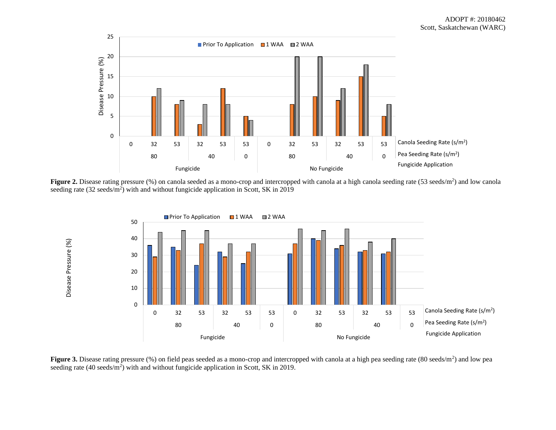

Figure 2. Disease rating pressure (%) on canola seeded as a mono-crop and intercropped with canola at a high canola seeding rate (53 seeds/m<sup>2</sup>) and low canola seeding rate  $(32 \text{ seeds/m}^2)$  with and without fungicide application in Scott, SK in 2019



Figure 3. Disease rating pressure (%) on field peas seeded as a mono-crop and intercropped with canola at a high pea seeding rate (80 seeds/m<sup>2</sup>) and low pea seeding rate  $(40 \text{ seeds/m}^2)$  with and without fungicide application in Scott, SK in 2019.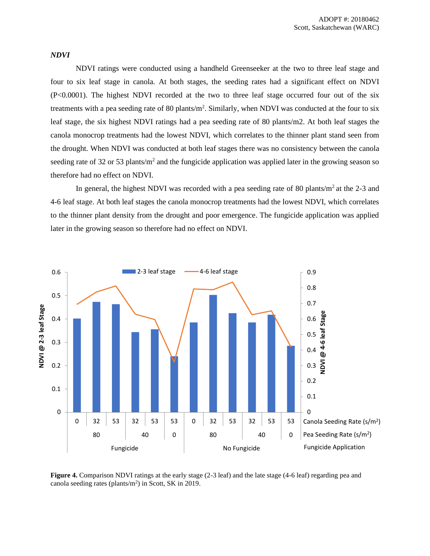#### *NDVI*

NDVI ratings were conducted using a handheld Greenseeker at the two to three leaf stage and four to six leaf stage in canola. At both stages, the seeding rates had a significant effect on NDVI (P<0.0001). The highest NDVI recorded at the two to three leaf stage occurred four out of the six treatments with a pea seeding rate of 80 plants/m<sup>2</sup>. Similarly, when NDVI was conducted at the four to six leaf stage, the six highest NDVI ratings had a pea seeding rate of 80 plants/m2. At both leaf stages the canola monocrop treatments had the lowest NDVI, which correlates to the thinner plant stand seen from the drought. When NDVI was conducted at both leaf stages there was no consistency between the canola seeding rate of 32 or 53 plants/m<sup>2</sup> and the fungicide application was applied later in the growing season so therefore had no effect on NDVI.

In general, the highest NDVI was recorded with a pea seeding rate of 80 plants/ $m<sup>2</sup>$  at the 2-3 and 4-6 leaf stage. At both leaf stages the canola monocrop treatments had the lowest NDVI, which correlates to the thinner plant density from the drought and poor emergence. The fungicide application was applied later in the growing season so therefore had no effect on NDVI.



Figure 4. Comparison NDVI ratings at the early stage (2-3 leaf) and the late stage (4-6 leaf) regarding pea and canola seeding rates (plants/ $m<sup>2</sup>$ ) in Scott, SK in 2019.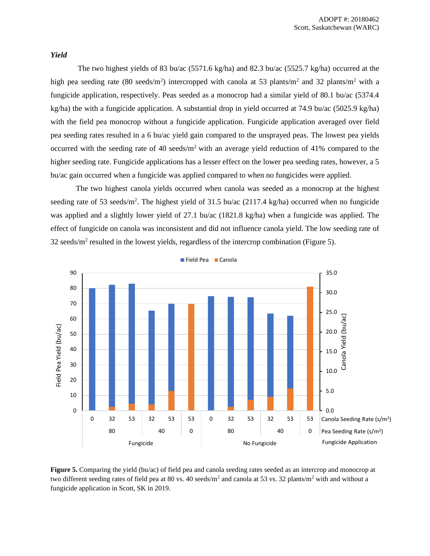#### *Yield*

The two highest yields of 83 bu/ac (5571.6 kg/ha) and 82.3 bu/ac (5525.7 kg/ha) occurred at the high pea seeding rate (80 seeds/m<sup>2</sup>) intercropped with canola at 53 plants/m<sup>2</sup> and 32 plants/m<sup>2</sup> with a fungicide application, respectively. Peas seeded as a monocrop had a similar yield of 80.1 bu/ac (5374.4 kg/ha) the with a fungicide application. A substantial drop in yield occurred at 74.9 bu/ac (5025.9 kg/ha) with the field pea monocrop without a fungicide application. Fungicide application averaged over field pea seeding rates resulted in a 6 bu/ac yield gain compared to the unsprayed peas. The lowest pea yields occurred with the seeding rate of 40 seeds/ $m<sup>2</sup>$  with an average yield reduction of 41% compared to the higher seeding rate. Fungicide applications has a lesser effect on the lower pea seeding rates, however, a 5 bu/ac gain occurred when a fungicide was applied compared to when no fungicides were applied.

The two highest canola yields occurred when canola was seeded as a monocrop at the highest seeding rate of 53 seeds/m<sup>2</sup>. The highest yield of 31.5 bu/ac  $(2117.4 \text{ kg/ha})$  occurred when no fungicide was applied and a slightly lower yield of 27.1 bu/ac (1821.8 kg/ha) when a fungicide was applied. The effect of fungicide on canola was inconsistent and did not influence canola yield. The low seeding rate of  $32$  seeds/ $m<sup>2</sup>$  resulted in the lowest yields, regardless of the intercrop combination (Figure 5).



**Figure 5.** Comparing the yield (bu/ac) of field pea and canola seeding rates seeded as an intercrop and monocrop at two different seeding rates of field pea at 80 vs. 40 seeds/ $m^2$  and canola at 53 vs. 32 plants/ $m^2$  with and without a fungicide application in Scott, SK in 2019.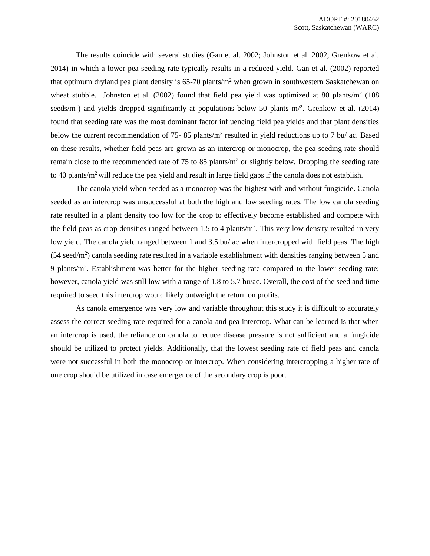The results coincide with several studies (Gan et al. 2002; Johnston et al. 2002; Grenkow et al. 2014) in which a lower pea seeding rate typically results in a reduced yield. Gan et al. (2002) reported that optimum dryland pea plant density is  $65-70$  plants/m<sup>2</sup> when grown in southwestern Saskatchewan on wheat stubble. Johnston et al.  $(2002)$  found that field pea yield was optimized at 80 plants/ $m<sup>2</sup>$  (108) seeds/m<sup>2</sup>) and yields dropped significantly at populations below 50 plants m $\beta$ . Grenkow et al. (2014) found that seeding rate was the most dominant factor influencing field pea yields and that plant densities below the current recommendation of 75-85 plants/ $m^2$  resulted in yield reductions up to 7 bu/ ac. Based on these results, whether field peas are grown as an intercrop or monocrop, the pea seeding rate should remain close to the recommended rate of 75 to 85 plants/ $m<sup>2</sup>$  or slightly below. Dropping the seeding rate to 40 plants/m<sup>2</sup> will reduce the pea yield and result in large field gaps if the canola does not establish.

The canola yield when seeded as a monocrop was the highest with and without fungicide. Canola seeded as an intercrop was unsuccessful at both the high and low seeding rates. The low canola seeding rate resulted in a plant density too low for the crop to effectively become established and compete with the field peas as crop densities ranged between 1.5 to 4 plants/ $m<sup>2</sup>$ . This very low density resulted in very low yield. The canola yield ranged between 1 and 3.5 bu/ ac when intercropped with field peas. The high  $(54 \text{ seed/m}^2)$  canola seeding rate resulted in a variable establishment with densities ranging between 5 and 9 plants/m<sup>2</sup>. Establishment was better for the higher seeding rate compared to the lower seeding rate; however, canola yield was still low with a range of 1.8 to 5.7 bu/ac. Overall, the cost of the seed and time required to seed this intercrop would likely outweigh the return on profits.

As canola emergence was very low and variable throughout this study it is difficult to accurately assess the correct seeding rate required for a canola and pea intercrop. What can be learned is that when an intercrop is used, the reliance on canola to reduce disease pressure is not sufficient and a fungicide should be utilized to protect yields. Additionally, that the lowest seeding rate of field peas and canola were not successful in both the monocrop or intercrop. When considering intercropping a higher rate of one crop should be utilized in case emergence of the secondary crop is poor.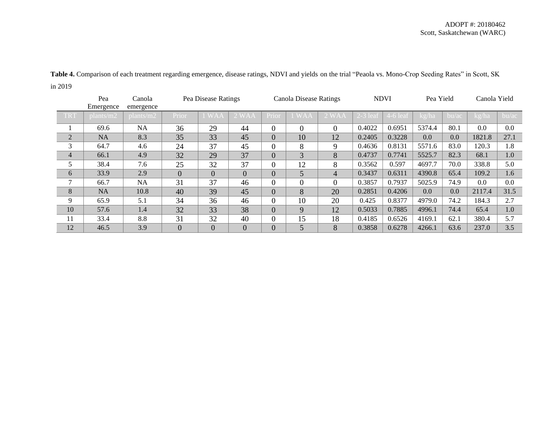|                | Pea<br>Emergence | Canola<br>emergence |                | Pea Disease Ratings |                |          | <b>Canola Disease Ratings</b> |                |            | <b>NDVI</b>       | Pea Yield |       | Canola Yield |       |
|----------------|------------------|---------------------|----------------|---------------------|----------------|----------|-------------------------------|----------------|------------|-------------------|-----------|-------|--------------|-------|
| <b>TRT</b>     | plants/m2        | plants/m2           | Prior          |                     |                | Prior    |                               |                | $2-3$ leaf | $\sqrt{4-6}$ leaf | kg/ha     | bu/ac | kg/ha        | bu/ac |
|                | 69.6             | NA                  | 36             | 29                  | 44             | $\Omega$ | $\Omega$                      | $\Omega$       | 0.4022     | 0.6951            | 5374.4    | 80.1  | $0.0\,$      | 0.0   |
| $\overline{2}$ | <b>NA</b>        | 8.3                 | 35             | 33                  | 45             | $\Omega$ | 10                            | 12             | 0.2405     | 0.3228            | 0.0       | 0.0   | 1821.8       | 27.1  |
| 3              | 64.7             | 4.6                 | 24             | 37                  | 45             | $\Omega$ | 8                             | 9              | 0.4636     | 0.8131            | 5571.6    | 83.0  | 120.3        | 1.8   |
| $\overline{4}$ | 66.1             | 4.9                 | 32             | 29                  | 37             | $\Omega$ | 3                             | 8              | 0.4737     | 0.7741            | 5525.7    | 82.3  | 68.1         | 1.0   |
| 5              | 38.4             | 7.6                 | 25             | 32                  | 37             | $\Omega$ | 12                            | 8              | 0.3562     | 0.597             | 4697.7    | 70.0  | 338.8        | 5.0   |
| 6              | 33.9             | 2.9                 | $\Omega$       | $\Omega$            | $\overline{0}$ | $\Omega$ | 5                             | $\overline{4}$ | 0.3437     | 0.6311            | 4390.8    | 65.4  | 109.2        | 1.6   |
| $\mathbf{r}$   | 66.7             | <b>NA</b>           | 31             | 37                  | 46             | $\Omega$ | $\Omega$                      | $\overline{0}$ | 0.3857     | 0.7937            | 5025.9    | 74.9  | $0.0\,$      | 0.0   |
| 8              | <b>NA</b>        | 10.8                | 40             | 39                  | 45             | $\Omega$ | 8                             | 20             | 0.2851     | 0.4206            | 0.0       | 0.0   | 2117.4       | 31.5  |
| 9              | 65.9             | 5.1                 | 34             | 36                  | 46             | $\Omega$ | 10                            | 20             | 0.425      | 0.8377            | 4979.0    | 74.2  | 184.3        | 2.7   |
| 10             | 57.6             | 1.4                 | 32             | 33                  | 38             | $\Omega$ | $\mathbf Q$                   | 12             | 0.5033     | 0.7885            | 4996.1    | 74.4  | 65.4         | 1.0   |
| 11             | 33.4             | 8.8                 | 31             | 32                  | 40             | $\Omega$ | 15                            | 18             | 0.4185     | 0.6526            | 4169.1    | 62.1  | 380.4        | 5.7   |
| 12             | 46.5             | 3.9                 | $\overline{0}$ | $\overline{0}$      | $\overline{0}$ | $\Omega$ | 5                             | 8              | 0.3858     | 0.6278            | 4266.1    | 63.6  | 237.0        | 3.5   |

**Table 4.** Comparison of each treatment regarding emergence, disease ratings, NDVI and yields on the trial "Peaola vs. Mono-Crop Seeding Rates" in Scott, SK in 2019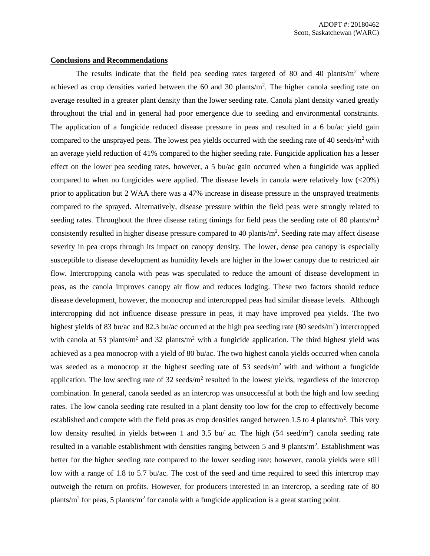#### **Conclusions and Recommendations**

The results indicate that the field pea seeding rates targeted of 80 and 40 plants/ $m<sup>2</sup>$  where achieved as crop densities varied between the 60 and 30 plants/ $m<sup>2</sup>$ . The higher canola seeding rate on average resulted in a greater plant density than the lower seeding rate. Canola plant density varied greatly throughout the trial and in general had poor emergence due to seeding and environmental constraints. The application of a fungicide reduced disease pressure in peas and resulted in a 6 bu/ac yield gain compared to the unsprayed peas. The lowest pea yields occurred with the seeding rate of 40 seeds/m<sup>2</sup> with an average yield reduction of 41% compared to the higher seeding rate. Fungicide application has a lesser effect on the lower pea seeding rates, however, a 5 bu/ac gain occurred when a fungicide was applied compared to when no fungicides were applied. The disease levels in canola were relatively low (<20%) prior to application but 2 WAA there was a 47% increase in disease pressure in the unsprayed treatments compared to the sprayed. Alternatively, disease pressure within the field peas were strongly related to seeding rates. Throughout the three disease rating timings for field peas the seeding rate of 80 plants/m<sup>2</sup> consistently resulted in higher disease pressure compared to 40 plants/m<sup>2</sup>. Seeding rate may affect disease severity in pea crops through its impact on canopy density. The lower, dense pea canopy is especially susceptible to disease development as humidity levels are higher in the lower canopy due to restricted air flow. Intercropping canola with peas was speculated to reduce the amount of disease development in peas, as the canola improves canopy air flow and reduces lodging. These two factors should reduce disease development, however, the monocrop and intercropped peas had similar disease levels. Although intercropping did not influence disease pressure in peas, it may have improved pea yields. The two highest yields of 83 bu/ac and 82.3 bu/ac occurred at the high pea seeding rate (80 seeds/m<sup>2</sup>) intercropped with canola at 53 plants/ $m^2$  and 32 plants/ $m^2$  with a fungicide application. The third highest yield was achieved as a pea monocrop with a yield of 80 bu/ac. The two highest canola yields occurred when canola was seeded as a monocrop at the highest seeding rate of 53 seeds/m<sup>2</sup> with and without a fungicide application. The low seeding rate of  $32$  seeds/m<sup>2</sup> resulted in the lowest yields, regardless of the intercrop combination. In general, canola seeded as an intercrop was unsuccessful at both the high and low seeding rates. The low canola seeding rate resulted in a plant density too low for the crop to effectively become established and compete with the field peas as crop densities ranged between 1.5 to 4 plants/ $m<sup>2</sup>$ . This very low density resulted in yields between 1 and 3.5 bu/ ac. The high (54 seed/m<sup>2</sup>) canola seeding rate resulted in a variable establishment with densities ranging between 5 and 9 plants/m<sup>2</sup>. Establishment was better for the higher seeding rate compared to the lower seeding rate; however, canola yields were still low with a range of 1.8 to 5.7 bu/ac. The cost of the seed and time required to seed this intercrop may outweigh the return on profits. However, for producers interested in an intercrop, a seeding rate of 80 plants/m<sup>2</sup> for peas, 5 plants/m<sup>2</sup> for canola with a fungicide application is a great starting point.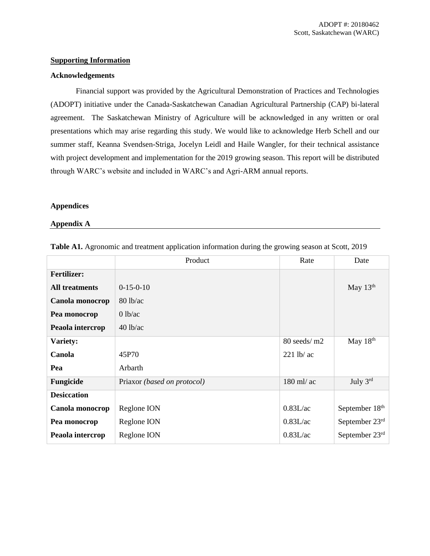## **Supporting Information**

## **Acknowledgements**

Financial support was provided by the Agricultural Demonstration of Practices and Technologies (ADOPT) initiative under the Canada-Saskatchewan Canadian Agricultural Partnership (CAP) bi-lateral agreement. The Saskatchewan Ministry of Agriculture will be acknowledged in any written or oral presentations which may arise regarding this study. We would like to acknowledge Herb Schell and our summer staff, Keanna Svendsen-Striga, Jocelyn Leidl and Haile Wangler, for their technical assistance with project development and implementation for the 2019 growing season. This report will be distributed through WARC's website and included in WARC's and Agri-ARM annual reports.

## **Appendices**

## **Appendix A**

|                       | Product                     | Rate          | Date           |
|-----------------------|-----------------------------|---------------|----------------|
| <b>Fertilizer:</b>    |                             |               |                |
| <b>All treatments</b> | $0-15-0-10$                 |               | May $13th$     |
| Canola monocrop       | $80$ lb/ac                  |               |                |
| Pea monocrop          | 0 lb/ac                     |               |                |
| Peaola intercrop      | $40$ lb/ac                  |               |                |
| Variety:              |                             | $80$ seeds/m2 | May 18th       |
| Canola                | 45P70                       | $221$ lb/ ac  |                |
| Pea                   | Arbarth                     |               |                |
| <b>Fungicide</b>      | Priaxor (based on protocol) | 180 ml/ ac    | July $3rd$     |
| <b>Desiccation</b>    |                             |               |                |
| Canola monocrop       | Reglone ION                 | 0.83L/ac      | September 18th |
| Pea monocrop          | Reglone ION                 | 0.83L/ac      | September 23rd |
| Peaola intercrop      | Reglone ION                 | 0.83L/ac      | September 23rd |

**Table A1.** Agronomic and treatment application information during the growing season at Scott, 2019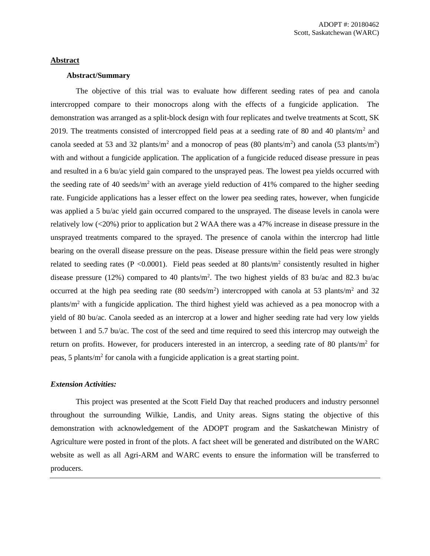## **Abstract**

#### **Abstract/Summary**

The objective of this trial was to evaluate how different seeding rates of pea and canola intercropped compare to their monocrops along with the effects of a fungicide application. The demonstration was arranged as a split-block design with four replicates and twelve treatments at Scott, SK 2019. The treatments consisted of intercropped field peas at a seeding rate of 80 and 40 plants/ $m<sup>2</sup>$  and canola seeded at 53 and 32 plants/m<sup>2</sup> and a monocrop of peas (80 plants/m<sup>2</sup>) and canola (53 plants/m<sup>2</sup>) with and without a fungicide application. The application of a fungicide reduced disease pressure in peas and resulted in a 6 bu/ac yield gain compared to the unsprayed peas. The lowest pea yields occurred with the seeding rate of 40 seeds/ $m<sup>2</sup>$  with an average yield reduction of 41% compared to the higher seeding rate. Fungicide applications has a lesser effect on the lower pea seeding rates, however, when fungicide was applied a 5 bu/ac yield gain occurred compared to the unsprayed. The disease levels in canola were relatively low (<20%) prior to application but 2 WAA there was a 47% increase in disease pressure in the unsprayed treatments compared to the sprayed. The presence of canola within the intercrop had little bearing on the overall disease pressure on the peas. Disease pressure within the field peas were strongly related to seeding rates ( $P < 0.0001$ ). Field peas seeded at 80 plants/ $m<sup>2</sup>$  consistently resulted in higher disease pressure (12%) compared to 40 plants/m<sup>2</sup>. The two highest yields of 83 bu/ac and 82.3 bu/ac occurred at the high pea seeding rate  $(80 \text{ seeds/m}^2)$  intercropped with canola at 53 plants/m<sup>2</sup> and 32 plants/m<sup>2</sup> with a fungicide application. The third highest yield was achieved as a pea monocrop with a yield of 80 bu/ac. Canola seeded as an intercrop at a lower and higher seeding rate had very low yields between 1 and 5.7 bu/ac. The cost of the seed and time required to seed this intercrop may outweigh the return on profits. However, for producers interested in an intercrop, a seeding rate of 80 plants/ $m<sup>2</sup>$  for peas, 5 plants/m<sup>2</sup> for canola with a fungicide application is a great starting point.

## *Extension Activities:*

This project was presented at the Scott Field Day that reached producers and industry personnel throughout the surrounding Wilkie, Landis, and Unity areas. Signs stating the objective of this demonstration with acknowledgement of the ADOPT program and the Saskatchewan Ministry of Agriculture were posted in front of the plots. A fact sheet will be generated and distributed on the WARC website as well as all Agri-ARM and WARC events to ensure the information will be transferred to producers.